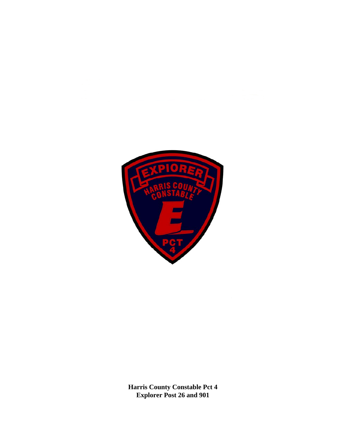

**Harris County Constable Pct 4 Explorer Post 26 and 901**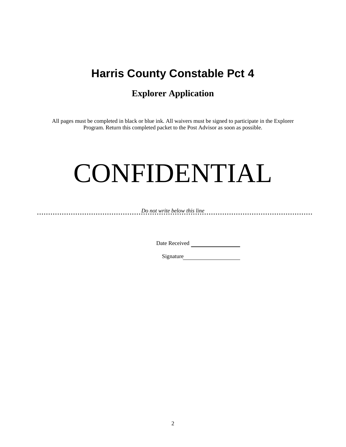# **Harris County Constable Pct 4**

# **Explorer Application**

All pages must be completed in black or blue ink. All waivers must be signed to participate in the Explorer Program. Return this completed packet to the Post Advisor as soon as possible.

# CONFIDENTIAL

*Do not write below this line* 

Date Received

Signature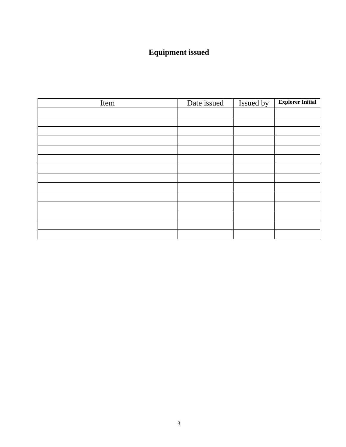# **Equipment issued**

| Item | Date issued | Issued by | <b>Explorer Initial</b> |
|------|-------------|-----------|-------------------------|
|      |             |           |                         |
|      |             |           |                         |
|      |             |           |                         |
|      |             |           |                         |
|      |             |           |                         |
|      |             |           |                         |
|      |             |           |                         |
|      |             |           |                         |
|      |             |           |                         |
|      |             |           |                         |
|      |             |           |                         |
|      |             |           |                         |
|      |             |           |                         |
|      |             |           |                         |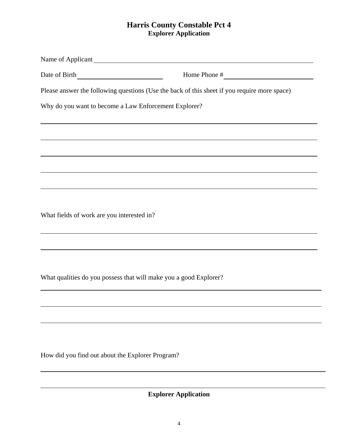# **Harris County Constable Pct 4 Explorer Application**

|                                                       | Home Phone $\#$                                                                              |
|-------------------------------------------------------|----------------------------------------------------------------------------------------------|
|                                                       | Please answer the following questions (Use the back of this sheet if you require more space) |
| Why do you want to become a Law Enforcement Explorer? |                                                                                              |
|                                                       | <u> 1989 - Jan Salaman Salaman (j. 1989)</u>                                                 |
|                                                       |                                                                                              |
|                                                       |                                                                                              |
|                                                       |                                                                                              |
|                                                       |                                                                                              |
|                                                       |                                                                                              |
| What fields of work are you interested in?            |                                                                                              |
|                                                       |                                                                                              |
|                                                       |                                                                                              |
|                                                       |                                                                                              |
|                                                       | What qualities do you possess that will make you a good Explorer?                            |
|                                                       |                                                                                              |
|                                                       |                                                                                              |
|                                                       |                                                                                              |
|                                                       |                                                                                              |
| How did you find out about the Explorer Program?      |                                                                                              |

**Explorer Application**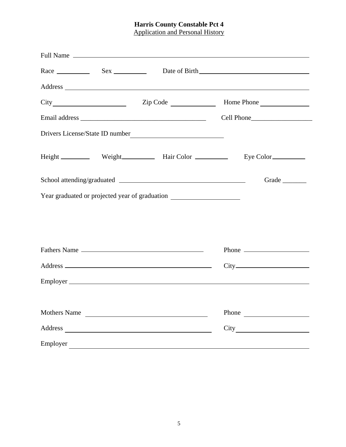## **Harris County Constable Pct 4**  Application and Personal History

|                     |                                                                                  | Grade |
|---------------------|----------------------------------------------------------------------------------|-------|
|                     | Year graduated or projected year of graduation _________________________________ |       |
|                     |                                                                                  |       |
|                     |                                                                                  |       |
|                     | Fathers Name                                                                     |       |
|                     |                                                                                  |       |
|                     |                                                                                  |       |
| <b>Mothers Name</b> |                                                                                  |       |
| Address             | <u> 1989 - Johann Stoff, fransk politik (d. 1989)</u>                            | City  |
| Employer            |                                                                                  |       |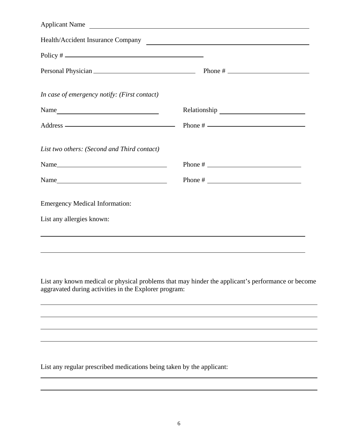| Applicant Name                               |  |
|----------------------------------------------|--|
| Health/Accident Insurance Company            |  |
|                                              |  |
|                                              |  |
| In case of emergency notify: (First contact) |  |
| Name                                         |  |
|                                              |  |
| List two others: (Second and Third contact)  |  |
| Name                                         |  |
| Name                                         |  |
| <b>Emergency Medical Information:</b>        |  |
| List any allergies known:                    |  |
|                                              |  |
|                                              |  |

List any known medical or physical problems that may hinder the applicant's performance or become aggravated during activities in the Explorer program:

List any regular prescribed medications being taken by the applicant: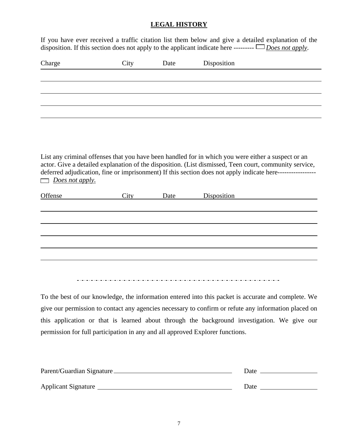## **LEGAL HISTORY**

If you have ever received a traffic citation list them below and give a detailed explanation of the disposition. If this section does not apply to the applicant indicate here --------- *Does not apply*.

| Charge                     | City | Date | Disposition                                                                                                               |  |
|----------------------------|------|------|---------------------------------------------------------------------------------------------------------------------------|--|
|                            |      |      |                                                                                                                           |  |
|                            |      |      |                                                                                                                           |  |
|                            |      |      |                                                                                                                           |  |
|                            |      |      |                                                                                                                           |  |
|                            |      |      |                                                                                                                           |  |
|                            |      |      |                                                                                                                           |  |
| Does not apply.<br>Offense | City | Date | deferred adjudication, fine or imprisonment) If this section does not apply indicate here-----------------<br>Disposition |  |
|                            |      |      |                                                                                                                           |  |
|                            |      |      |                                                                                                                           |  |
|                            |      |      |                                                                                                                           |  |
|                            |      |      |                                                                                                                           |  |
|                            |      |      |                                                                                                                           |  |
|                            |      |      |                                                                                                                           |  |

To the best of our knowledge, the information entered into this packet is accurate and complete. We give our permission to contact any agencies necessary to confirm or refute any information placed on this application or that is learned about through the background investigation. We give our permission for full participation in any and all approved Explorer functions.

| Parent/Guardian Signature | Date |
|---------------------------|------|
| Applicant Signature       | Date |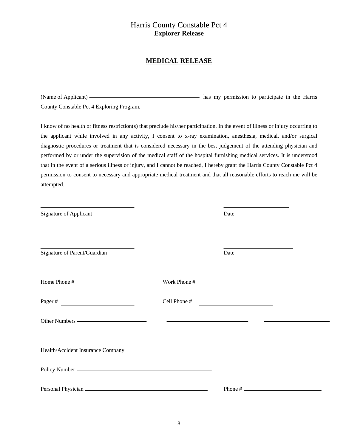# Harris County Constable Pct 4 **Explorer Release**

#### **MEDICAL RELEASE**

(Name of Applicant) **has my permission** to participate in the Harris County Constable Pct 4 Exploring Program.

I know of no health or fitness restriction(s) that preclude his/her participation. In the event of illness or injury occurring to the applicant while involved in any activity, I consent to x-ray examination, anesthesia, medical, and/or surgical diagnostic procedures or treatment that is considered necessary in the best judgement of the attending physician and performed by or under the supervision of the medical staff of the hospital furnishing medical services. It is understood that in the event of a serious illness or injury, and I cannot be reached, I hereby grant the Harris County Constable Pct 4 permission to consent to necessary and appropriate medical treatment and that all reasonable efforts to reach me will be attempted.

| Signature of Applicant                                            | Date                         |  |
|-------------------------------------------------------------------|------------------------------|--|
| Signature of Parent/Guardian                                      | Date                         |  |
|                                                                   | Work Phone # $\qquad \qquad$ |  |
|                                                                   | Cell Phone $#$               |  |
|                                                                   |                              |  |
| Health/Accident Insurance Company<br><u>Leader of the Company</u> |                              |  |
|                                                                   |                              |  |
|                                                                   |                              |  |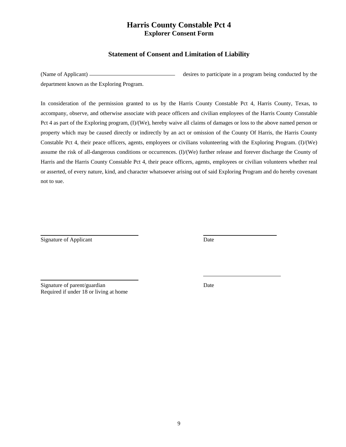# **Harris County Constable Pct 4 Explorer Consent Form**

### **Statement of Consent and Limitation of Liability**

(Name of Applicant) desires to participate in a program being conducted by the department known as the Exploring Program.

In consideration of the permission granted to us by the Harris County Constable Pct 4, Harris County, Texas, to accompany, observe, and otherwise associate with peace officers and civilian employees of the Harris County Constable Pct 4 as part of the Exploring program, (I)/(We), hereby waive all claims of damages or loss to the above named person or property which may be caused directly or indirectly by an act or omission of the County Of Harris, the Harris County Constable Pct 4, their peace officers, agents, employees or civilians volunteering with the Exploring Program. (I)/(We) assume the risk of all-dangerous conditions or occurrences. (I)/(We) further release and forever discharge the County of Harris and the Harris County Constable Pct 4, their peace officers, agents, employees or civilian volunteers whether real or asserted, of every nature, kind, and character whatsoever arising out of said Exploring Program and do hereby covenant not to sue.

Signature of Applicant Date

Signature of parent/guardian Date Required if under 18 or living at home